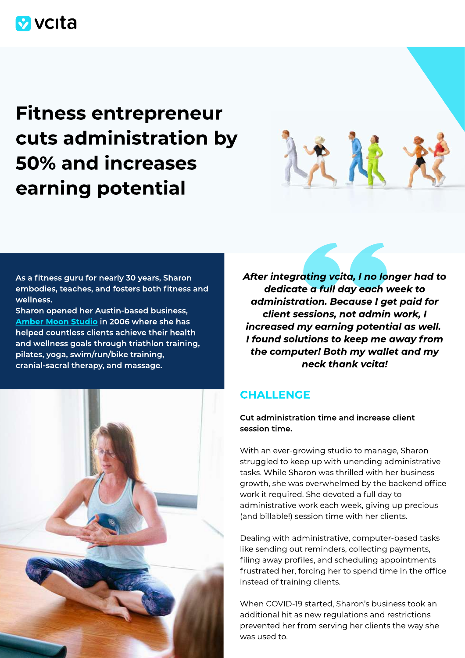

# Fitness entrepreneur cuts administration by 50% and increases earning potential



As a fitness guru for nearly 30 years, Sharon embodies, teaches, and fosters both fitness and wellness.

Sharon opened her Austin-based business, [Amber Moon Studio](http://www.ambermoonstudio.com/) in 2006 where she has helped countless clients achieve their health and wellness goals through triathlon training, pilates, yoga, swim/run/bike training, cranial-sacral therapy, and massage.



After integrating vcita, I no longer had to dedicate a full day each week to administration. Because I get paid for client sessions, not admin work, I increased my earning potential as well. I found solutions to keep me away from the computer! Both my wallet and my neck thank vcita!

# **CHALLENGE**

Cut administration time and increase client session time.

With an ever-growing studio to manage, Sharon struggled to keep up with unending administrative tasks. While Sharon was thrilled with her business growth, she was overwhelmed by the backend office work it required. She devoted a full day to administrative work each week, giving up precious (and billable!) session time with her clients.

Dealing with administrative, computer-based tasks like sending out reminders, collecting payments, filing away profiles, and scheduling appointments frustrated her, forcing her to spend time in the office instead of training clients.

When COVID-19 started, Sharon's business took an additional hit as new regulations and restrictions prevented her from serving her clients the way she was used to.